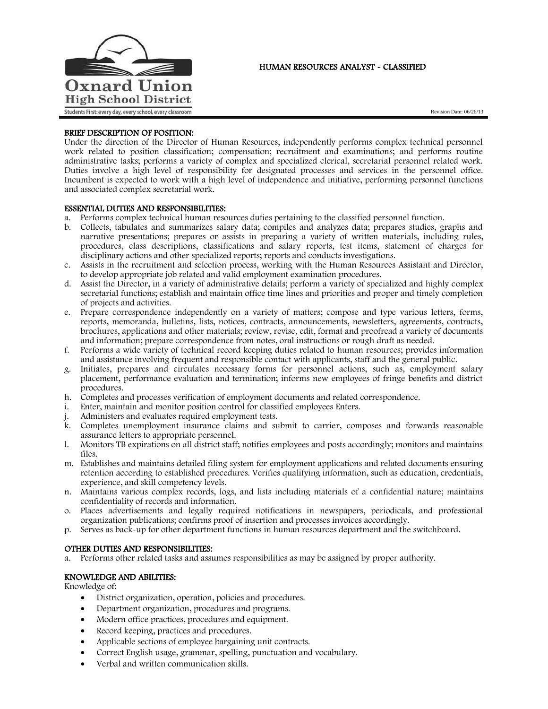

# HUMAN RESOURCES ANALYST - CLASSIFIED

Revision Date: 06/26/13

# BRIEF DESCRIPTION OF POSITION:

Under the direction of the Director of Human Resources, independently performs complex technical personnel work related to position classification; compensation; recruitment and examinations; and performs routine administrative tasks; performs a variety of complex and specialized clerical, secretarial personnel related work. Duties involve a high level of responsibility for designated processes and services in the personnel office. Incumbent is expected to work with a high level of independence and initiative, performing personnel functions and associated complex secretarial work.

## ESSENTIAL DUTIES AND RESPONSIBILITIES:

- a. Performs complex technical human resources duties pertaining to the classified personnel function.
- b. Collects, tabulates and summarizes salary data; compiles and analyzes data; prepares studies, graphs and narrative presentations; prepares or assists in preparing a variety of written materials, including rules, procedures, class descriptions, classifications and salary reports, test items, statement of charges for disciplinary actions and other specialized reports; reports and conducts investigations.
- c. Assists in the recruitment and selection process, working with the Human Resources Assistant and Director, to develop appropriate job related and valid employment examination procedures.
- d. Assist the Director, in a variety of administrative details; perform a variety of specialized and highly complex secretarial functions; establish and maintain office time lines and priorities and proper and timely completion of projects and activities.
- e. Prepare correspondence independently on a variety of matters; compose and type various letters, forms, reports, memoranda, bulletins, lists, notices, contracts, announcements, newsletters, agreements, contracts, brochures, applications and other materials; review, revise, edit, format and proofread a variety of documents and information; prepare correspondence from notes, oral instructions or rough draft as needed.
- f. Performs a wide variety of technical record keeping duties related to human resources; provides information and assistance involving frequent and responsible contact with applicants, staff and the general public.
- g. Initiates, prepares and circulates necessary forms for personnel actions, such as, employment salary placement, performance evaluation and termination; informs new employees of fringe benefits and district procedures.
- h. Completes and processes verification of employment documents and related correspondence.
- i. Enter, maintain and monitor position control for classified employees Enters.
- Administers and evaluates required employment tests.
- k. Completes unemployment insurance claims and submit to carrier, composes and forwards reasonable assurance letters to appropriate personnel.
- l. Monitors TB expirations on all district staff; notifies employees and posts accordingly; monitors and maintains files.
- m. Establishes and maintains detailed filing system for employment applications and related documents ensuring retention according to established procedures. Verifies qualifying information, such as education, credentials, experience, and skill competency levels.
- n. Maintains various complex records, logs, and lists including materials of a confidential nature; maintains confidentiality of records and information.
- o. Places advertisements and legally required notifications in newspapers, periodicals, and professional organization publications; confirms proof of insertion and processes invoices accordingly.
- p. Serves as back-up for other department functions in human resources department and the switchboard.

## OTHER DUTIES AND RESPONSIBILITIES:

a. Performs other related tasks and assumes responsibilities as may be assigned by proper authority.

## KNOWLEDGE AND ABILITIES:

Knowledge of:

- District organization, operation, policies and procedures.
- Department organization, procedures and programs.
- Modern office practices, procedures and equipment.
- Record keeping, practices and procedures.
- Applicable sections of employee bargaining unit contracts.
- Correct English usage, grammar, spelling, punctuation and vocabulary.
- Verbal and written communication skills.